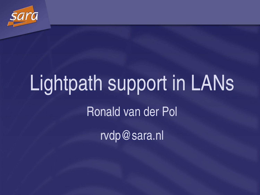

# Lightpath support in LANs Ronald van der Pol rvdp@sara.nl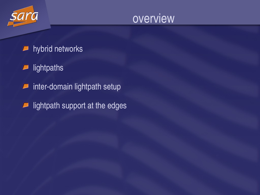



- hybrid networks  $\overline{\phantom{a}}$
- lightpaths  $\boldsymbol{\varphi}$
- inter-domain lightpath setup  $\sqrt{2}$
- lightpath support at the edges $\Box$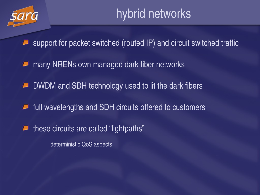

support for packet switched (routed IP) and circuit switched traffic

many NRENs own managed dark fiber networks

DWDM and SDH technology used to lit the dark fibers

full wavelengths and SDH circuits offered to customers  $\overline{\phantom{a}}$ 

these circuits are called "lightpaths"

deterministic QoS aspects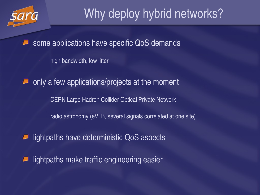

# Why deploy hybrid networks?

some applications have specific QoS demands

high bandwidth, low jitter

only a few applications/projects at the moment

CERN Large Hadron Collider Optical Private Network

radio astronomy (eVLB, several signals correlated at one site)

lightpaths have deterministic QoS aspects

lightpaths make traffic engineering easier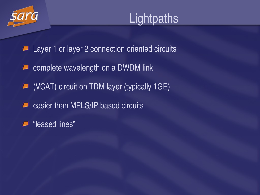

Layer 1 or layer 2 connection oriented circuits  $\overline{\phantom{a}}$ 

- complete wavelength on a DWDM link  $\overline{\phantom{a}}$
- (VCAT) circuit on TDM layer (typically 1GE)
- easier than MPLS/IP based circuits  $\overline{\phantom{a}}$
- "leased lines"L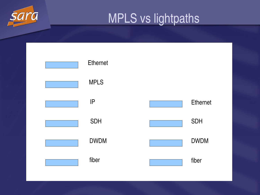

### MPLS vs lightpaths

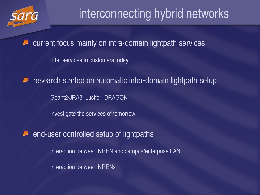

# interconnecting hybrid networks

current focus mainly on intra-domain lightpath services

offer services to customers today

research started on automatic inter-domain lightpath setup

Geant2/JRA3, Lucifer, DRAGON

investigate the services of tomorrow

end-user controlled setup of lightpaths

interaction between NREN and campus/enterprise LAN

interaction between NRENs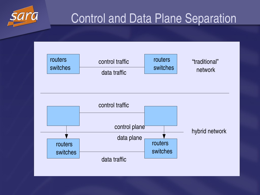

# Control and Data Plane Separation

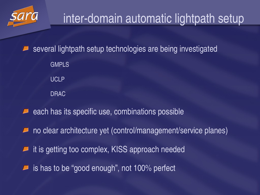

# inter-domain automatic lightpath setup

several lightpath setup technologies are being investigated GMPLS UCLP DRAC

- each has its specific use, combinations possible
- no clear architecture yet (control/management/service planes)
- it is getting too complex, KISS approach needed
- is has to be "good enough" , not 100% perfect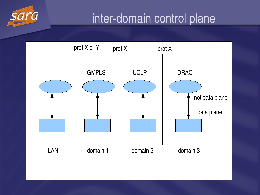#### inter-domain control plane

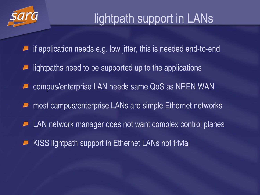

# lightpath support in LANs

- if application needs e.g. low jitter, this is needed end-to-end
- lightpaths need to be supported up to the applications
- compus/enterprise LAN needs same QoS as NREN WAN
- most campus/enterprise LANs are simple Ethernet networks
- LAN network manager does not want complex control planes
- KISS lightpath support in Ethernet LANs not trivial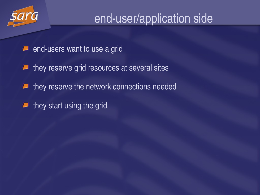

#### end-user/application side

- end-users want to use a grid  $\overline{\phantom{a}}$
- they reserve grid resources at several sites
- they reserve the network connections needed  $\overline{\phantom{a}}$
- they start using the grid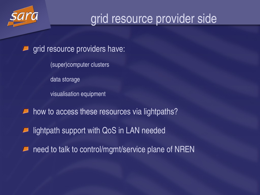

# grid resource provider side

- grid resource providers have:
	- (super)computer clusters
	- data storage
	- visualisation equipment
- how to access these resources via lightpaths?
- lightpath support with QoS in LAN needed
- need to talk to control/mgmt/service plane of NREN $\overline{\phantom{a}}$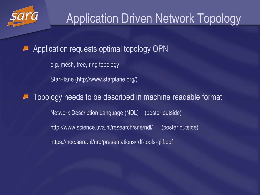

Application requests optimal topology OPN

e.g. mesh, tree, ring topology

StarPlane (http://www.starplane.org/)

Topology needs to be described in machine readable format Network Description Language (NDL) (poster outside) http://www.science.uva.nl/research/sne/ndl/ (poster outside) https://noc.sara.nl/nrg/presentations/rdf-tools-glif.pdf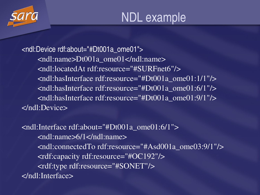

<ndl:Device rdf:about= "#Dt001a\_ome01"> <ndl:name>Dt001a\_ome01</ndl:name> <ndl:locatedAt rdf:resource= "#SURFnet6"/> <ndl:hasInterface rdf:resource= "#Dt001a\_ome01:1/1"/> <ndl:hasInterface rdf:resource= "#Dt001a\_ome01:6/1"/> <ndl:hasInterface rdf:resource= "#Dt001a\_ome01:9/1"/> </ndl:Device>

<ndl:Interface rdf:about= "#Dt001a\_ome01:6/1"> <ndl:name>6/1</ndl:name> <ndl:connectedTo rdf:resource= "#Asd001a\_ome03:9/1"/> <rdf:capacity rdf:resource= "#OC192"/> <rdf:type rdf:resource= "#SONET"/> </ndl:Interface>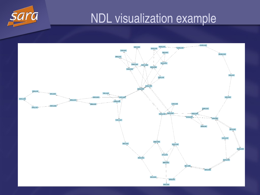

# NDL visualization example

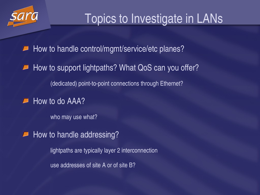

# Topics to Investigate in LANs

How to handle control/mgmt/service/etc planes?

How to support lightpaths? What QoS can you offer?

(dedicated) point-to-point connections through Ethernet?

How to do AAA?

who may use what?

How to handle addressing?

lightpaths are typically layer 2 interconnection use addresses of site A or of site B?